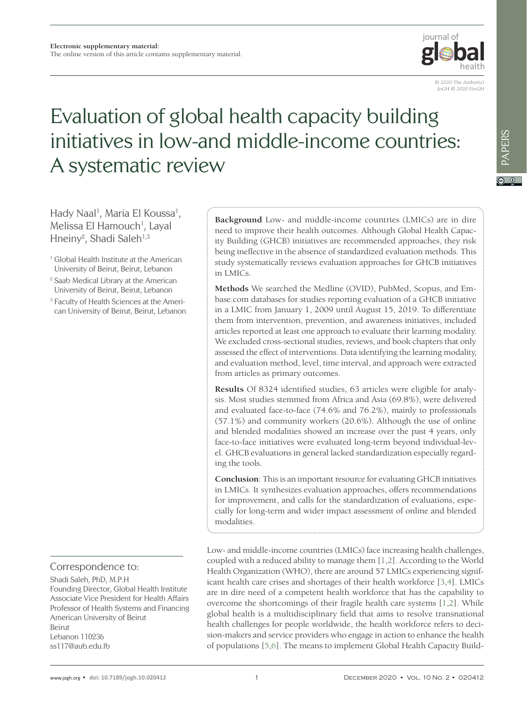

© 2020 The Author(s) JoGH © 2020 ISoGH

# Evaluation of global health capacity building initiatives in low-and middle-income countries: A systematic review

Hady Naal<sup>1</sup>, Maria El Koussa<sup>1</sup>, Melissa El Hamouch<sup>1</sup>, Layal Hneiny<sup>2</sup>, Shadi Saleh<sup>1,3</sup>

- <sup>1</sup> Global Health Institute at the American University of Beirut, Beirut, Lebanon
- <sup>2</sup> Saab Medical Library at the American University of Beirut, Beirut, Lebanon
- <sup>3</sup> Faculty of Health Sciences at the American University of Beirut, Beirut, Lebanon

Correspondence to:

Shadi Saleh, PhD, M.P.H Founding Director, Global Health Institute Associate Vice President for Health Affairs Professor of Health Systems and Financing American University of Beirut Beirut Lebanon 110236 ss117@aub.edu.lb

**Background** Low- and middle-income countries (LMICs) are in dire need to improve their health outcomes. Although Global Health Capacity Building (GHCB) initiatives are recommended approaches, they risk being ineffective in the absence of standardized evaluation methods. This study systematically reviews evaluation approaches for GHCB initiatives in LMICs.

**Methods** We searched the Medline (OVID), PubMed, Scopus, and Embase.com databases for studies reporting evaluation of a GHCB initiative in a LMIC from January 1, 2009 until August 15, 2019. To differentiate them from intervention, prevention, and awareness initiatives, included articles reported at least one approach to evaluate their learning modality. We excluded cross-sectional studies, reviews, and book chapters that only assessed the effect of interventions. Data identifying the learning modality, and evaluation method, level, time interval, and approach were extracted from articles as primary outcomes.

**Results** Of 8324 identified studies, 63 articles were eligible for analysis. Most studies stemmed from Africa and Asia (69.8%), were delivered and evaluated face-to-face (74.6% and 76.2%), mainly to professionals (57.1%) and community workers (20.6%). Although the use of online and blended modalities showed an increase over the past 4 years, only face-to-face initiatives were evaluated long-term beyond individual-level. GHCB evaluations in general lacked standardization especially regarding the tools.

**Conclusion**: This is an important resource for evaluating GHCB initiatives in LMICs. It synthesizes evaluation approaches, offers recommendations for improvement, and calls for the standardization of evaluations, especially for long-term and wider impact assessment of online and blended modalities.

Low- and middle-income countries (LMICs) face increasing health challenges, coupled with a reduced ability to manage them [\[1,](#page-9-0)[2](#page-9-1)]. According to the World Health Organization (WHO), there are around 57 LMICs experiencing significant health care crises and shortages of their health workforce [\[3](#page-9-2)[,4\]](#page-9-3). LMICs are in dire need of a competent health workforce that has the capability to overcome the shortcomings of their fragile health care systems [[1,](#page-9-0)[2\]](#page-9-1). While global health is a multidisciplinary field that aims to resolve transnational health challenges for people worldwide, the health workforce refers to decision-makers and service providers who engage in action to enhance the health of populations [[5](#page-9-4),[6](#page-9-5)]. The means to implement Global Health Capacity Build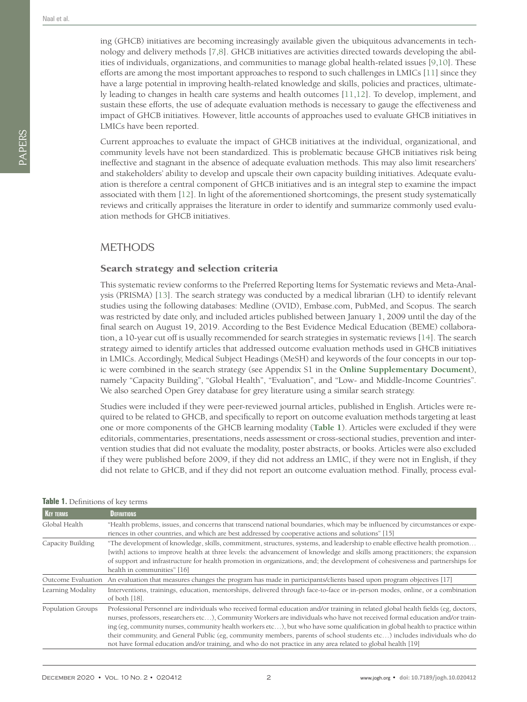PAPERS

ing (GHCB) initiatives are becoming increasingly available given the ubiquitous advancements in technology and delivery methods [\[7](#page-9-6)[,8](#page-9-7)]. GHCB initiatives are activities directed towards developing the abilities of individuals, organizations, and communities to manage global health-related issues [\[9](#page-10-0)[,10](#page-10-1)]. These efforts are among the most important approaches to respond to such challenges in LMICs [[11](#page-10-2)] since they have a large potential in improving health-related knowledge and skills, policies and practices, ultimately leading to changes in health care systems and health outcomes [\[11,](#page-10-2)[12](#page-10-3)]. To develop, implement, and sustain these efforts, the use of adequate evaluation methods is necessary to gauge the effectiveness and impact of GHCB initiatives. However, little accounts of approaches used to evaluate GHCB initiatives in LMICs have been reported.

Current approaches to evaluate the impact of GHCB initiatives at the individual, organizational, and community levels have not been standardized. This is problematic because GHCB initiatives risk being ineffective and stagnant in the absence of adequate evaluation methods. This may also limit researchers' and stakeholders' ability to develop and upscale their own capacity building initiatives. Adequate evaluation is therefore a central component of GHCB initiatives and is an integral step to examine the impact associated with them [[12\]](#page-10-3). In light of the aforementioned shortcomings, the present study systematically reviews and critically appraises the literature in order to identify and summarize commonly used evaluation methods for GHCB initiatives.

# METHODS

#### Search strategy and selection criteria

This systematic review conforms to the Preferred Reporting Items for Systematic reviews and Meta-Analysis (PRISMA) [[13](#page-10-4)]. The search strategy was conducted by a medical librarian (LH) to identify relevant studies using the following databases: Medline (OVID), Embase.com, PubMed, and Scopus. The search was restricted by date only, and included articles published between January 1, 2009 until the day of the final search on August 19, 2019. According to the Best Evidence Medical Education (BEME) collaboration, a 10-year cut off is usually recommended for search strategies in systematic reviews [[14\]](#page-10-5). The search strategy aimed to identify articles that addressed outcome evaluation methods used in GHCB initiatives in LMICs. Accordingly, Medical Subject Headings (MeSH) and keywords of the four concepts in our topic were combined in the search strategy (see Appendix S1 in the **[Online Supplementary Document](#page-9-8)**), namely "Capacity Building", "Global Health", "Evaluation", and "Low- and Middle-Income Countries". We also searched Open Grey database for grey literature using a similar search strategy.

Studies were included if they were peer-reviewed journal articles, published in English. Articles were required to be related to GHCB, and specifically to report on outcome evaluation methods targeting at least one or more components of the GHCB learning modality (**[Table 1](#page-1-0)**). Articles were excluded if they were editorials, commentaries, presentations, needs assessment or cross-sectional studies, prevention and intervention studies that did not evaluate the modality, poster abstracts, or books. Articles were also excluded if they were published before 2009, if they did not address an LMIC, if they were not in English, if they did not relate to GHCB, and if they did not report an outcome evaluation method. Finally, process eval-

| <b>KEY TERMS</b>   | <b>DEFINITIONS</b>                                                                                                                                                                                                                                                                                                                                                                                                                                                                                                                                                                                                                             |  |  |  |  |  |
|--------------------|------------------------------------------------------------------------------------------------------------------------------------------------------------------------------------------------------------------------------------------------------------------------------------------------------------------------------------------------------------------------------------------------------------------------------------------------------------------------------------------------------------------------------------------------------------------------------------------------------------------------------------------------|--|--|--|--|--|
| Global Health      | "Health problems, issues, and concerns that transcend national boundaries, which may be influenced by circumstances or expe-<br>riences in other countries, and which are best addressed by cooperative actions and solutions" [15]                                                                                                                                                                                                                                                                                                                                                                                                            |  |  |  |  |  |
| Capacity Building  | "The development of knowledge, skills, commitment, structures, systems, and leadership to enable effective health promotion<br>[with] actions to improve health at three levels: the advancement of knowledge and skills among practitioners; the expansion<br>of support and infrastructure for health promotion in organizations, and; the development of cohesiveness and partnerships for<br>health in communities" [16]                                                                                                                                                                                                                   |  |  |  |  |  |
| Outcome Evaluation | An evaluation that measures changes the program has made in participants/clients based upon program objectives [17]                                                                                                                                                                                                                                                                                                                                                                                                                                                                                                                            |  |  |  |  |  |
| Learning Modality  | Interventions, trainings, education, mentorships, delivered through face-to-face or in-person modes, online, or a combination<br>of both $[18]$ .                                                                                                                                                                                                                                                                                                                                                                                                                                                                                              |  |  |  |  |  |
| Population Groups  | Professional Personnel are individuals who received formal education and/or training in related global health fields (eg, doctors,<br>nurses, professors, researchers etc), Community Workers are individuals who have not received formal education and/or train-<br>ing (eg, community nurses, community health workers etc), but who have some qualification in global health to practice within<br>their community, and General Public (eg, community members, parents of school students etc) includes individuals who do<br>not have formal education and/or training, and who do not practice in any area related to global health [19] |  |  |  |  |  |

#### <span id="page-1-0"></span>**Table 1.** Definitions of key terms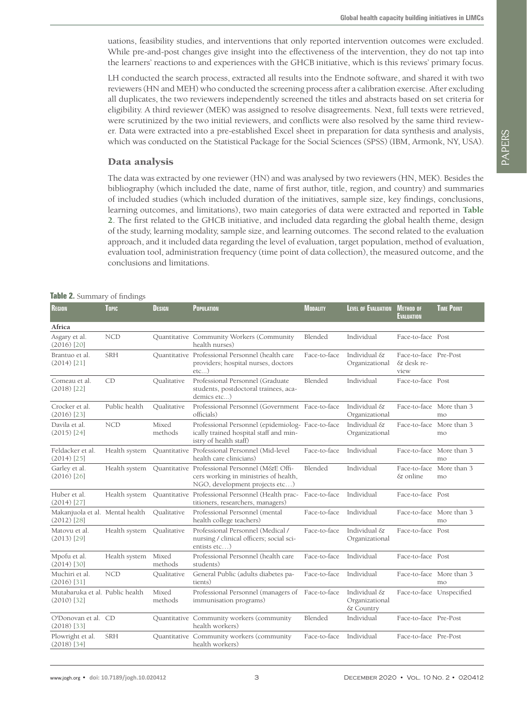uations, feasibility studies, and interventions that only reported intervention outcomes were excluded. While pre-and-post changes give insight into the effectiveness of the intervention, they do not tap into the learners' reactions to and experiences with the GHCB initiative, which is this reviews' primary focus.

LH conducted the search process, extracted all results into the Endnote software, and shared it with two reviewers (HN and MEH) who conducted the screening process after a calibration exercise. After excluding all duplicates, the two reviewers independently screened the titles and abstracts based on set criteria for eligibility. A third reviewer (MEK) was assigned to resolve disagreements. Next, full texts were retrieved, were scrutinized by the two initial reviewers, and conflicts were also resolved by the same third reviewer. Data were extracted into a pre-established Excel sheet in preparation for data synthesis and analysis, which was conducted on the Statistical Package for the Social Sciences (SPSS) (IBM, Armonk, NY, USA).

#### Data analysis

The data was extracted by one reviewer (HN) and was analysed by two reviewers (HN, MEK). Besides the bibliography (which included the date, name of first author, title, region, and country) and summaries of included studies (which included duration of the initiatives, sample size, key findings, conclusions, learning outcomes, and limitations), two main categories of data were extracted and reported in **[Table](#page-2-0) [2](#page-2-0)**. The first related to the GHCB initiative, and included data regarding the global health theme, design of the study, learning modality, sample size, and learning outcomes. The second related to the evaluation approach, and it included data regarding the level of evaluation, target population, method of evaluation, evaluation tool, administration frequency (time point of data collection), the measured outcome, and the conclusions and limitations.

#### <span id="page-2-0"></span>**Table 2.** Summary of findings

| Region                                           | Topic                     | <b>DESIGN</b>    | POPULATION                                                                                                                | <b>MODALITY</b> | <b>LEVEL OF EVALUATION</b>                  | <b>METHOD OF</b><br><b>EVALUATION</b>       | <b>TIME POINT</b>              |
|--------------------------------------------------|---------------------------|------------------|---------------------------------------------------------------------------------------------------------------------------|-----------------|---------------------------------------------|---------------------------------------------|--------------------------------|
| Africa                                           |                           |                  |                                                                                                                           |                 |                                             |                                             |                                |
| Asgary et al.<br>$(2016)$ [20]                   | <b>NCD</b>                |                  | Quantitative Community Workers (Community<br>health nurses)                                                               | Blended         | Individual                                  | Face-to-face Post                           |                                |
| Brantuo et al.<br>$(2014)$ [21]                  | <b>SRH</b>                |                  | Quantitative Professional Personnel (health care<br>providers; hospital nurses, doctors<br>$etc$ )                        | Face-to-face    | Individual &<br>Organizational              | Face-to-face Pre-Post<br>& desk re-<br>view |                                |
| Comeau et al.<br>$(2018)$ [22]                   | CD                        | Oualitative      | Professional Personnel (Graduate)<br>students, postdoctoral trainees, aca-<br>demics etc)                                 | Blended         | Individual                                  | Face-to-face Post                           |                                |
| Crocker et al.<br>$(2016)$ [23]                  | Public health             | Oualitative      | Professional Personnel (Government Face-to-face<br>officials)                                                             |                 | Individual &<br>Organizational              |                                             | Face-to-face More than 3<br>mo |
| Davila et al.<br>$(2015)$ [24]                   | <b>NCD</b>                | Mixed<br>methods | Professional Personnel (epidemiolog- Face-to-face<br>ically trained hospital staff and min-<br>istry of health staff)     |                 | Individual &<br>Organizational              | Face-to-face                                | More than 3<br>mo              |
| Feldacker et al.<br>$(2014)$ [25]                | Health system             |                  | Ouantitative Professional Personnel (Mid-level<br>health care clinicians)                                                 | Face-to-face    | Individual                                  |                                             | Face-to-face More than 3<br>mo |
| Garley et al.<br>$(2016)$ [26]                   | Health system             |                  | Quantitative Professional Personnel (M&E Offi-<br>cers working in ministries of health,<br>NGO, development projects etc) | Blended         | Individual                                  | Face-to-face<br>& online                    | More than 3<br>mo              |
| Huber et al.<br>$(2014)$ [27]                    | Health system             |                  | Quantitative Professional Personnel (Health prac- Face-to-face<br>titioners, researchers, managers)                       |                 | Individual                                  | Face-to-face Post                           |                                |
| Makanjuola et al. Mental health<br>$(2012)$ [28] |                           | Oualitative      | Professional Personnel (mental<br>health college teachers)                                                                | Face-to-face    | Individual                                  |                                             | Face-to-face More than 3<br>mo |
| Matovu et al.<br>$(2013)$ [29]                   | Health system Qualitative |                  | Professional Personnel (Medical /<br>nursing / clinical officers; social sci-<br>entists $etc$ )                          | Face-to-face    | Individual &<br>Organizational              | Face-to-face Post                           |                                |
| Mpofu et al.<br>$(2014)$ [30]                    | Health system             | Mixed<br>methods | Professional Personnel (health care<br>students)                                                                          | Face-to-face    | Individual                                  | Face-to-face Post                           |                                |
| Muchiri et al.<br>$(2016)$ [31]                  | <b>NCD</b>                | Qualitative      | General Public (adults diabetes pa-<br>tients)                                                                            | Face-to-face    | Individual                                  |                                             | Face-to-face More than 3<br>mo |
| Mutabaruka et al. Public health<br>$(2010)$ [32] |                           | Mixed<br>methods | Professional Personnel (managers of<br>immunisation programs)                                                             | Face-to-face    | Individual &<br>Organizational<br>& Country | Face-to-face Unspecified                    |                                |
| O'Donovan et al. CD<br>$(2018)$ [33]             |                           |                  | Quantitative Community workers (community<br>health workers)                                                              | Blended         | Individual                                  | Face-to-face Pre-Post                       |                                |
| Plowright et al.<br>$(2018)$ [34]                | <b>SRH</b>                |                  | Quantitative Community workers (community<br>health workers)                                                              | Face-to-face    | Individual                                  | Face-to-face Pre-Post                       |                                |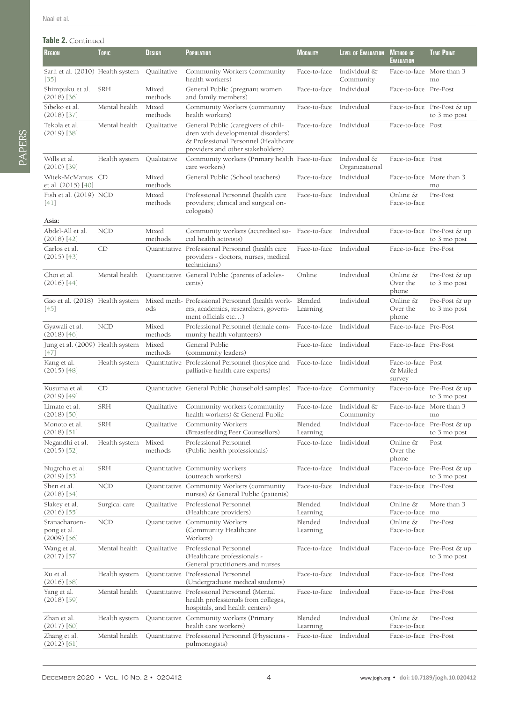#### **Table 2.** Continued

| lable Z. Continued                            |               |                  |                                                                                                                                                        |                     |                                |                                         |                                            |
|-----------------------------------------------|---------------|------------------|--------------------------------------------------------------------------------------------------------------------------------------------------------|---------------------|--------------------------------|-----------------------------------------|--------------------------------------------|
| <b>REGION</b>                                 | <b>Topic</b>  | <b>DESIGN</b>    | <b>POPULATION</b>                                                                                                                                      | <b>MODALITY</b>     | <b>LEVEL OF EVALUATION</b>     | <b>METHOD OF</b><br><b>EVALUATION</b>   | <b>TIME POINT</b>                          |
| Sarli et al. (2010) Health system<br>[35]     |               | Qualitative      | Community Workers (community<br>health workers)                                                                                                        | Face-to-face        | Individual &<br>Community      |                                         | Face-to-face More than 3<br>mo             |
| Shimpuku et al.<br>$(2018)$ [36]              | <b>SRH</b>    | Mixed<br>methods | General Public (pregnant women<br>and family members)                                                                                                  | Face-to-face        | Individual                     | Face-to-face Pre-Post                   |                                            |
| Sibeko et al.<br>$(2018)$ [37]                | Mental health | Mixed<br>methods | Community Workers (community)<br>health workers)                                                                                                       | Face-to-face        | Individual                     |                                         | Face-to-face Pre-Post & up<br>to 3 mo post |
| Tekola et al.<br>$(2019)$ [38]                | Mental health | Qualitative      | General Public (caregivers of chil-<br>dren with developmental disorders)<br>& Professional Personnel (Healthcare<br>providers and other stakeholders) | Face-to-face        | Individual                     | Face-to-face Post                       |                                            |
| Wills et al.<br>$(2010)$ [39]                 | Health system | Qualitative      | Community workers (Primary health Face-to-face<br>care workers)                                                                                        |                     | Individual &<br>Organizational | Face-to-face Post                       |                                            |
| Witek-McManus CD<br>et al. (2015) [40]        |               | Mixed<br>methods | General Public (School teachers)                                                                                                                       | Face-to-face        | Individual                     |                                         | Face-to-face More than 3<br>mo             |
| Fish et al. (2019) NCD<br>[41]                |               | Mixed<br>methods | Professional Personnel (health care<br>providers; clinical and surgical on-<br>cologists)                                                              | Face-to-face        | Individual                     | Online &<br>Face-to-face                | Pre-Post                                   |
| Asia:                                         |               |                  |                                                                                                                                                        |                     |                                |                                         |                                            |
| Abdel-All et al.<br>$(2018)$ [42]             | <b>NCD</b>    | Mixed<br>methods | Community workers (accredited so-<br>cial health activists)                                                                                            | Face-to-face        | Individual                     |                                         | Face-to-face Pre-Post & up<br>to 3 mo post |
| Carlos et al.<br>$(2015)$ [43]                | CD            |                  | Quantitative Professional Personnel (health care<br>providers - doctors, nurses, medical<br>technicians)                                               | Face-to-face        | Individual                     | Face-to-face Pre-Post                   |                                            |
| Choi et al.<br>$(2016)$ [44]                  | Mental health |                  | Quantitative General Public (parents of adoles-<br>cents)                                                                                              | Online              | Individual                     | Online &<br>Over the<br>phone           | Pre-Post & up<br>to 3 mo post              |
| Gao et al. (2018) Health system<br>[45]       |               | ods              | Mixed meth- Professional Personnel (health work- Blended<br>ers, academics, researchers, govern-<br>ment officials etc)                                | Learning            | Individual                     | Online &<br>Over the<br>phone           | Pre-Post & up<br>to 3 mo post              |
| Gyawali et al.<br>$(2018)$ [46]               | <b>NCD</b>    | Mixed<br>methods | Professional Personnel (female com- Face-to-face<br>munity health volunteers)                                                                          |                     | Individual                     | Face-to-face Pre-Post                   |                                            |
| Jung et al. (2009) Health system<br>[47]      |               | Mixed<br>methods | General Public<br>(community leaders)                                                                                                                  | Face-to-face        | Individual                     | Face-to-face Pre-Post                   |                                            |
| Kang et al.<br>$(2015)$ [48]                  | Health system |                  | Quantitative Professional Personnel (hospice and Face-to-face<br>palliative health care experts)                                                       |                     | Individual                     | Face-to-face Post<br>& Mailed<br>survey |                                            |
| Kusuma et al.<br>$(2019)$ [49]                | CD            |                  | Quantitative General Public (household samples) Face-to-face                                                                                           |                     | Community                      |                                         | Face-to-face Pre-Post & up<br>to 3 mo post |
| Limato et al.<br>$(2018)$ [50]                | <b>SRH</b>    | Qualitative      | Community workers (community<br>health workers) & General Public                                                                                       | Face-to-face        | Individual &<br>Community      |                                         | Face-to-face More than 3<br>mo             |
| Monoto et al.<br>$(2018)$ [51]                | <b>SRH</b>    | Qualitative      | Community Workers<br>(Breastfeeding Peer Counsellors)                                                                                                  | Blended<br>Learning | Individual                     |                                         | Face-to-face Pre-Post & up<br>to 3 mo post |
| Negandhi et al.<br>$(2015)$ [52]              | Health system | Mixed<br>methods | Professional Personnel<br>(Public health professionals)                                                                                                | Face-to-face        | Individual                     | Online &<br>Over the<br>phone           | Post                                       |
| Nugroho et al.<br>$(2019)$ [53]               | <b>SRH</b>    |                  | Quantitative Community workers<br>(outreach workers)                                                                                                   | Face-to-face        | Individual                     |                                         | Face-to-face Pre-Post & up<br>to 3 mo post |
| Shen et al.<br>$(2018)$ [54]                  | <b>NCD</b>    |                  | Quantitative Community Workers (community<br>nurses) & General Public (patients)                                                                       | Face-to-face        | Individual                     | Face-to-face Pre-Post                   |                                            |
| Slakey et al.<br>$(2016)$ [55]                | Surgical care | Qualitative      | Professional Personnel<br>(Healthcare providers)                                                                                                       | Blended<br>Learning | Individual                     | Online &<br>Face-to-face mo             | More than 3                                |
| Sranacharoen-<br>pong et al.<br>$(2009)$ [56] | <b>NCD</b>    |                  | Quantitative Community Workers<br>(Community Healthcare<br>Workers)                                                                                    | Blended<br>Learning | Individual                     | Online &<br>Face-to-face                | Pre-Post                                   |
| Wang et al.<br>$(2017)$ [57]                  | Mental health | Qualitative      | Professional Personnel<br>(Healthcare professionals -<br>General practitioners and nurses                                                              | Face-to-face        | Individual                     |                                         | Face-to-face Pre-Post & up<br>to 3 mo post |
| Xu et al.                                     | Health system |                  | Quantitative Professional Personnel                                                                                                                    | Face-to-face        | Individual                     | Face-to-face Pre-Post                   |                                            |

(2016) [[58\]](#page-12-1)

Yang et al. (2018) [\[59\]](#page-12-2)

Zhan et al. (2017) [[60](#page-12-3)]

Zhang et al. (2012) [[61](#page-12-4)] Blended Learning

(Undergraduate medical students)

health professionals from colleges, hospitals, and health centers)

health care workers)

Mental health Quantitative Professional Personnel (Mental

Health system Quantitative Community workers (Primary

Mental health Quantitative Professional Personnel (Physicians pulmonogists)

Face-to-face

Pre-Post

Face-to-face Individual Face-to-face Pre-Post

Individual Online &

Face-to-face Individual Face-to-face Pre-Post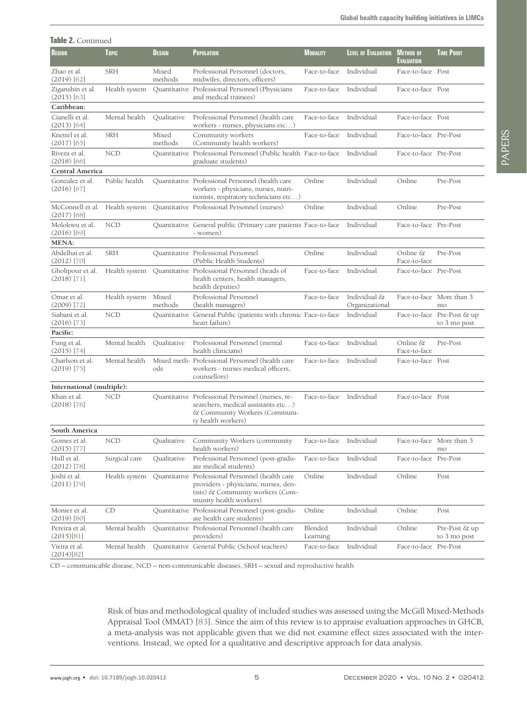| <b>Table 2.</b> Continued                       |               |                  |                                                                                                                                                        |                     |                                |                                       |                                            |
|-------------------------------------------------|---------------|------------------|--------------------------------------------------------------------------------------------------------------------------------------------------------|---------------------|--------------------------------|---------------------------------------|--------------------------------------------|
| <b>REGION</b>                                   | <b>Topic</b>  | <b>DESIGN</b>    | <b>POPULATION</b>                                                                                                                                      | <b>MODALITY</b>     | LEVEL OF EVALUATION            | <b>METHOD OF</b><br><b>EVALUATION</b> | <b>TIME POINT</b>                          |
| Zhao et al.<br>$(2019)$ [62]                    | <b>SRH</b>    | Mixed<br>methods | Professional Personnel (doctors,<br>midwifes, directors, officers)                                                                                     | Face-to-face        | Individual                     | Face-to-face Post                     |                                            |
| Ziganshin et al.<br>$(2015)$ [63]               | Health system |                  | Quantitative Professional Personnel (Physicians<br>and medical trainees)                                                                               | Face-to-face        | Individual                     | Face-to-face Post                     |                                            |
| Caribbean:                                      |               |                  |                                                                                                                                                        |                     |                                |                                       |                                            |
| Cianelli et al.<br>$(2013)$ [64]                | Mental health | Qualitative      | Professional Personnel (health care<br>workers - nurses, physicians etc)                                                                               | Face-to-face        | Individual                     | Face-to-face Post                     |                                            |
| Knettel et al.<br>$(2017)$ [65]                 | SRH           | Mixed<br>methods | Community workers<br>(Community health workers)                                                                                                        | Face-to-face        | Individual                     | Face-to-face Pre-Post                 |                                            |
| Rivera et al.<br>$(2018)$ [66]                  | <b>NCD</b>    |                  | Quantitative Professional Personnel (Public health Face-to-face<br>graduate students)                                                                  |                     | Individual                     | Face-to-face Pre-Post                 |                                            |
| Central America                                 |               |                  |                                                                                                                                                        |                     |                                |                                       |                                            |
| Gonzalez et al.<br>$(2016)$ [67]                | Public health |                  | Quantitative Professional Personnel (health care<br>workers - physicians, nurses, nutri-<br>tionists, respiratory technicians etc)                     | Online              | Individual                     | Online                                | Pre-Post                                   |
| McConnell et al. Health system<br>$(2017)$ [68] |               |                  | <b>Ouantitative</b> Professional Personnel (nurses)                                                                                                    | Online              | Individual                     | Online                                | Pre-Post                                   |
| Molokwu et al.<br>$(2016)$ [69]                 | <b>NCD</b>    |                  | Quantitative General public (Primary care patients Face-to-face<br>- women)                                                                            |                     | Individual                     | Face-to-face Pre-Post                 |                                            |
| <b>MENA:</b>                                    |               |                  |                                                                                                                                                        |                     |                                |                                       |                                            |
| Abdelhai et al.<br>$(2012)$ [70]                | SRH           |                  | Quantitative Professional Personnel<br>(Public Health Students)                                                                                        | Online              | Individual                     | Online &<br>Face-to-face              | Pre-Post                                   |
| Gholipour et al.<br>$(2018)$ [71]               | Health system |                  | Quantitative Professional Personnel (heads of<br>health centers, health managers,<br>health deputies)                                                  | Face-to-face        | Individual                     | Face-to-face Pre-Post                 |                                            |
| Omar et al.<br>$(2009)$ [72]                    | Health system | Mixed<br>methods | Professional Personnel<br>(health managers)                                                                                                            | Face-to-face        | Individual &<br>Organizational |                                       | Face-to-face More than 3<br>mo             |
| Siabani et al.<br>$(2016)$ [73]                 | <b>NCD</b>    |                  | Quantitative General Public (patients with chronic Face-to-face<br>heart failure)                                                                      |                     | Individual                     |                                       | Face-to-face Pre-Post & up<br>to 3 mo post |
| Pacific:                                        |               |                  |                                                                                                                                                        |                     |                                |                                       |                                            |
| Fung et al.<br>$(2015)$ [74]                    | Mental health | Qualitative      | Professional Personnel (mental<br>health clinicians)                                                                                                   | Face-to-face        | Individual                     | Online &<br>Face-to-face              | Pre-Post                                   |
| Charlson et al.<br>$(2019)$ [75]                | Mental health | ods              | Mixed meth- Professional Personnel (health care<br>workers - nurses medical officers,<br>counsellors)                                                  | Face-to-face        | Individual                     | Face-to-face Post                     |                                            |
| International (multiple):                       |               |                  |                                                                                                                                                        |                     |                                |                                       |                                            |
| Khan et al.<br>$(2018)$ [76]                    | <b>NCD</b>    |                  | Quantitative Professional Personnel (nurses, re-<br>searchers, medical assistants etc)<br>& Community Workers (Communi-<br>ty health workers)          | Face-to-face        | Individual                     | Face-to-face Post                     |                                            |
| South America                                   |               |                  |                                                                                                                                                        |                     |                                |                                       |                                            |
| Gomes et al.<br>$(2015)$ [77]                   | <b>NCD</b>    | Qualitative      | Community Workers (community<br>health workers)                                                                                                        | Face-to-face        | Individual                     |                                       | Face-to-face More than 3<br>mo             |
| Hull et al.<br>$(2012)$ [78]                    | Surgical care | Qualitative      | Professional Personnel (post-gradu-<br>ate medical students)                                                                                           | Face-to-face        | Individual                     | Face-to-face Pre-Post                 |                                            |
| Joshi et al.<br>$(2011)$ [79]                   | Health system |                  | Quantitative Professional Personnel (health care<br>providers - physicians, nurses, den-<br>tists) & Community workers (Com-<br>munity health workers) | Online              | Individual                     | Online                                | Post                                       |
| Monier et al.<br>$(2019)$ [80]                  | CD            |                  | Quantitative Professional Personnel (post-gradu-<br>ate health care students)                                                                          | Online              | Individual                     | Online                                | Post                                       |
| Pereira et al.<br>(2015)[81]                    | Mental health |                  | Quantitative Professional Personnel (health care<br>providers)                                                                                         | Blended<br>Learning | Individual                     | Online                                | Pre-Post & up<br>to 3 mo post              |
| Vieira et al.<br>(2014)[82]                     | Mental health |                  | Quantitative General Public (School teachers)                                                                                                          | Face-to-face        | Individual                     | Face-to-face Pre-Post                 |                                            |

CD – communicable disease, NCD – non-communicable diseases, SRH – sexual and reproductive health

Risk of bias and methodological quality of included studies was assessed using the McGill Mixed-Methods Appraisal Tool (MMAT) [\[83\]](#page-13-3). Since the aim of this review is to appraise evaluation approaches in GHCB, a meta-analysis was not applicable given that we did not examine effect sizes associated with the interventions. Instead, we opted for a qualitative and descriptive approach for data analysis.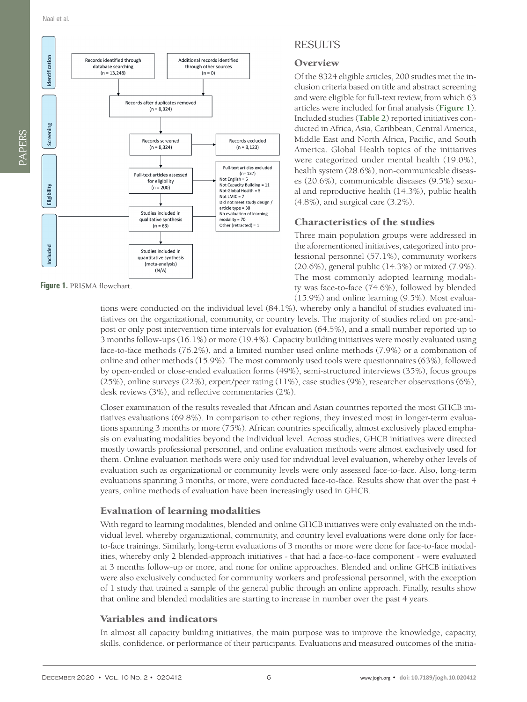<span id="page-5-0"></span>

**Figure 1.** PRISMA flowchart.

# RESULTS

#### **Overview**

Of the 8324 eligible articles, 200 studies met the inclusion criteria based on title and abstract screening and were eligible for full-text review, from which 63 articles were included for final analysis (**[Figure 1](#page-5-0)**). Included studies (**[Table 2](#page-2-0)**) reported initiatives conducted in Africa, Asia, Caribbean, Central America, Middle East and North Africa, Pacific, and South America. Global Health topics of the initiatives were categorized under mental health (19.0%), health system (28.6%), non-communicable diseases (20.6%), communicable diseases (9.5%) sexual and reproductive health (14.3%), public health (4.8%), and surgical care (3.2%).

## Characteristics of the studies

Three main population groups were addressed in the aforementioned initiatives, categorized into professional personnel (57.1%), community workers (20.6%), general public (14.3%) or mixed (7.9%). The most commonly adopted learning modality was face-to-face (74.6%), followed by blended (15.9%) and online learning (9.5%). Most evalua-

tions were conducted on the individual level (84.1%), whereby only a handful of studies evaluated initiatives on the organizational, community, or country levels. The majority of studies relied on pre-andpost or only post intervention time intervals for evaluation (64.5%), and a small number reported up to 3 months follow-ups (16.1%) or more (19.4%). Capacity building initiatives were mostly evaluated using face-to-face methods (76.2%), and a limited number used online methods (7.9%) or a combination of online and other methods (15.9%). The most commonly used tools were questionnaires (63%), followed by open-ended or close-ended evaluation forms (49%), semi-structured interviews (35%), focus groups (25%), online surveys (22%), expert/peer rating (11%), case studies (9%), researcher observations (6%), desk reviews (3%), and reflective commentaries (2%).

Closer examination of the results revealed that African and Asian countries reported the most GHCB initiatives evaluations (69.8%). In comparison to other regions, they invested most in longer-term evaluations spanning 3 months or more (75%). African countries specifically, almost exclusively placed emphasis on evaluating modalities beyond the individual level. Across studies, GHCB initiatives were directed mostly towards professional personnel, and online evaluation methods were almost exclusively used for them. Online evaluation methods were only used for individual level evaluation, whereby other levels of evaluation such as organizational or community levels were only assessed face-to-face. Also, long-term evaluations spanning 3 months, or more, were conducted face-to-face. Results show that over the past 4 years, online methods of evaluation have been increasingly used in GHCB.

# Evaluation of learning modalities

With regard to learning modalities, blended and online GHCB initiatives were only evaluated on the individual level, whereby organizational, community, and country level evaluations were done only for faceto-face trainings. Similarly, long-term evaluations of 3 months or more were done for face-to-face modalities, whereby only 2 blended-approach initiatives - that had a face-to-face component - were evaluated at 3 months follow-up or more, and none for online approaches. Blended and online GHCB initiatives were also exclusively conducted for community workers and professional personnel, with the exception of 1 study that trained a sample of the general public through an online approach. Finally, results show that online and blended modalities are starting to increase in number over the past 4 years.

# Variables and indicators

In almost all capacity building initiatives, the main purpose was to improve the knowledge, capacity, skills, confidence, or performance of their participants. Evaluations and measured outcomes of the initia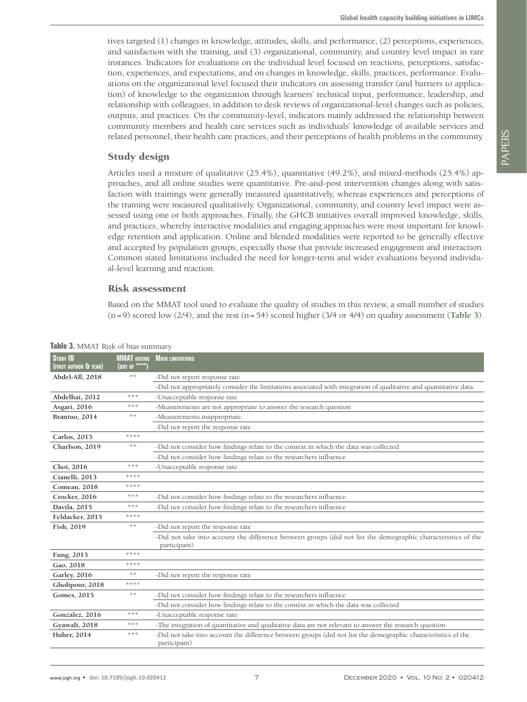tives targeted (1) changes in knowledge, attitudes, skills, and performance, (2) perceptions, experiences, and satisfaction with the training, and (3) organizational, community, and country level impact in rare instances. Indicators for evaluations on the individual level focused on reactions, perceptions, satisfaction, experiences, and expectations, and on changes in knowledge, skills, practices, performance. Evaluations on the organizational level focused their indicators on assessing transfer (and barriers to application) of knowledge to the organization through learners' technical input, performance, leadership, and relationship with colleagues, in addition to desk reviews of organizational-level changes such as policies, outputs, and practices. On the community-level, indicators mainly addressed the relationship between community members and health care services such as individuals' knowledge of available services and related personnel, their health care practices, and their perceptions of health problems in the community.

#### Study design

Articles used a mixture of qualitative (25.4%), quantitative (49.2%), and mixed-methods (25.4%) approaches, and all online studies were quantitative. Pre-and-post intervention changes along with satisfaction with trainings were generally measured quantitatively, whereas experiences and perceptions of the training were measured qualitatively. Organizational, community, and country level impact were assessed using one or both approaches. Finally, the GHCB initiatives overall improved knowledge, skills, and practices, whereby interactive modalities and engaging approaches were most important for knowledge retention and application. Online and blended modalities were reported to be generally effective and accepted by population groups, especially those that provide increased engagement and interaction. Common stated limitations included the need for longer-term and wider evaluations beyond individual-level learning and reaction.

#### Risk assessment

Based on the MMAT tool used to evaluate the quality of studies in this review, a small number of studies (n=9) scored low (2/4), and the rest (n=54) scored higher (3/4 or 4/4) on quality assessment (**[Table 3](#page-6-0)**).

| <b>MMAT RATING</b><br>(OUT OF **** | <b>MAIN LIMITATIONS</b>                                                                                                       |
|------------------------------------|-------------------------------------------------------------------------------------------------------------------------------|
| $\gg \gg$                          | -Did not report response rate                                                                                                 |
|                                    | -Did not appropriately consider the limitations associated with integration of qualitative and quantitative data.             |
| ***                                | -Unacceptable response rate                                                                                                   |
| ***                                | -Measurements are not appropriate to answer the research question                                                             |
| $\gg \gg$                          | -Measurements inappropriate.                                                                                                  |
|                                    | -Did not report the response rate.                                                                                            |
| ****                               |                                                                                                                               |
| **                                 | -Did not consider how findings relate to the context in which the data was collected                                          |
|                                    | -Did not consider how findings relate to the researchers influence.                                                           |
| ***                                | -Unacceptable response rate                                                                                                   |
| oje oje oje oje                    |                                                                                                                               |
| ****                               |                                                                                                                               |
| ***                                | -Did not consider how findings relate to the researchers influence.                                                           |
| ***                                | -Did not consider how findings relate to the researchers influence                                                            |
| ****                               |                                                                                                                               |
| $\frac{1}{2} \xi$                  | -Did not report the response rate                                                                                             |
|                                    | -Did not take into account the difference between groups (did not list the demographic characteristics of the<br>participant) |
| ****                               |                                                                                                                               |
| ****                               |                                                                                                                               |
| **                                 | -Did not report the response rate                                                                                             |
| ****                               |                                                                                                                               |
| $\frac{1}{2} \xi$                  | -Did not consider how findings relate to the researchers influence.                                                           |
|                                    | -Did not consider how findings relate to the context in which the data was collected                                          |
| ***                                | -Unacceptable response rate                                                                                                   |
| ***                                | -The integration of quantitative and qualitative data are not relevant to answer the research question                        |
| ***                                | -Did not take into account the difference between groups (did not list the demographic characteristics of the<br>participant) |
|                                    |                                                                                                                               |

<span id="page-6-0"></span>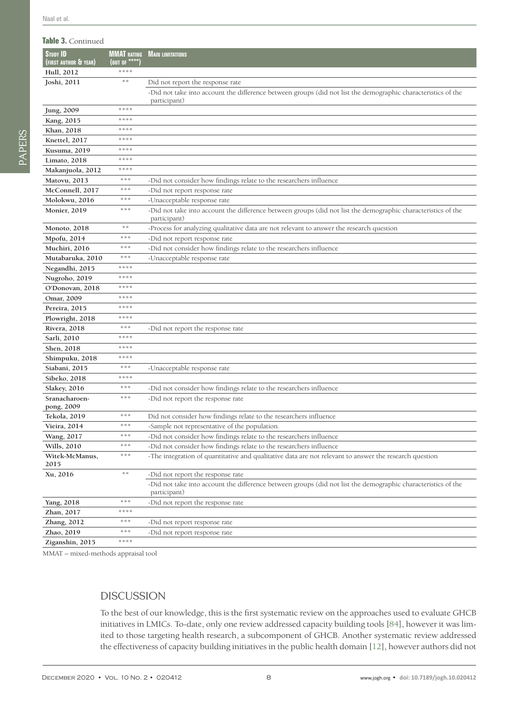#### **Table 3.** Continued

| <b>STUDY ID</b><br>(FIRST AUTHOR & YEAR) | <b>(OUT OF ****</b> | <b>MMAT RATING MAIN LIMITATIONS</b>                                                                                           |
|------------------------------------------|---------------------|-------------------------------------------------------------------------------------------------------------------------------|
| Hull, 2012                               | ****                |                                                                                                                               |
| Joshi, 2011                              | $\gg \gg$           | Did not report the response rate                                                                                              |
|                                          |                     | -Did not take into account the difference between groups (did not list the demographic characteristics of the<br>participant) |
| Jung, 2009                               | ****                |                                                                                                                               |
| Kang, 2015                               | ****                |                                                                                                                               |
| Khan, 2018                               | ****                |                                                                                                                               |
| Knettel, 2017                            | ****                |                                                                                                                               |
| Kusuma, 2019                             | ****                |                                                                                                                               |
| Limato, 2018                             | ****                |                                                                                                                               |
| Makanjuola, 2012                         | ****                |                                                                                                                               |
| Matovu, 2013                             | ***                 | -Did not consider how findings relate to the researchers influence                                                            |
| McConnell, 2017                          | ***                 | -Did not report response rate                                                                                                 |
| Molokwu, 2016                            | ***                 | -Unacceptable response rate                                                                                                   |
| <b>Monier</b> , 2019                     | ***                 | -Did not take into account the difference between groups (did not list the demographic characteristics of the<br>participant) |
| Monoto, 2018                             | **                  | -Process for analyzing qualitative data are not relevant to answer the research question                                      |
| Mpofu, 2014                              | ***                 | -Did not report response rate                                                                                                 |
| Muchiri, 2016                            | ***                 | -Did not consider how findings relate to the researchers influence                                                            |
| Mutabaruka, 2010                         | ***                 | -Unacceptable response rate                                                                                                   |
| Negandhi, 2015                           | ****                |                                                                                                                               |
| Nugroho, 2019                            | ****                |                                                                                                                               |
| O'Donovan, 2018                          | ****                |                                                                                                                               |
| Omar, 2009                               | ****                |                                                                                                                               |
| Pereira, 2015                            | ****                |                                                                                                                               |
| Plowright, 2018                          | ****                |                                                                                                                               |
| <b>Rivera</b> , 2018                     | ***                 | -Did not report the response rate                                                                                             |
| Sarli, 2010                              | ****                |                                                                                                                               |
| Shen, 2018                               | ****                |                                                                                                                               |
| Shimpuku, 2018                           | ****                |                                                                                                                               |
| Siabani, 2015                            | 米米米                 | -Unacceptable response rate                                                                                                   |
| Sibeko, 2018                             | ****                |                                                                                                                               |
| <b>Slakey</b> , 2016                     | ***                 | -Did not consider how findings relate to the researchers influence                                                            |
| Sranacharoen-<br>pong, 2009              | ***                 | -Did not report the response rate                                                                                             |
| Tekola, 2019                             | ***                 | Did not consider how findings relate to the researchers influence                                                             |
| Vieira, 2014                             | 米米米                 | -Sample not representative of the population.                                                                                 |
| Wang, 2017                               | ***                 | -Did not consider how findings relate to the researchers influence                                                            |
| Wills, 2010                              | 米米米                 | -Did not consider how findings relate to the researchers influence                                                            |
| Witek-McManus,<br>2015                   | ***                 | -The integration of quantitative and qualitative data are not relevant to answer the research question                        |
| Xu, 2016                                 | $\gg \gg$           | -Did not report the response rate                                                                                             |
|                                          |                     | -Did not take into account the difference between groups (did not list the demographic characteristics of the<br>participant) |
| Yang, 2018                               | ***                 | -Did not report the response rate                                                                                             |
| Zhan, 2017                               | ****                |                                                                                                                               |
| Zhang, 2012                              | ***                 | -Did not report response rate                                                                                                 |
| Zhao, 2019                               | ***                 | -Did not report response rate                                                                                                 |
| Ziganshin, 2015                          | ****                |                                                                                                                               |

MMAT – mixed-methods appraisal tool

# DISCUSSION

To the best of our knowledge, this is the first systematic review on the approaches used to evaluate GHCB initiatives in LMICs. To-date, only one review addressed capacity building tools [\[84\]](#page-13-4), however it was limited to those targeting health research, a subcomponent of GHCB. Another systematic review addressed the effectiveness of capacity building initiatives in the public health domain [[12](#page-10-3)], however authors did not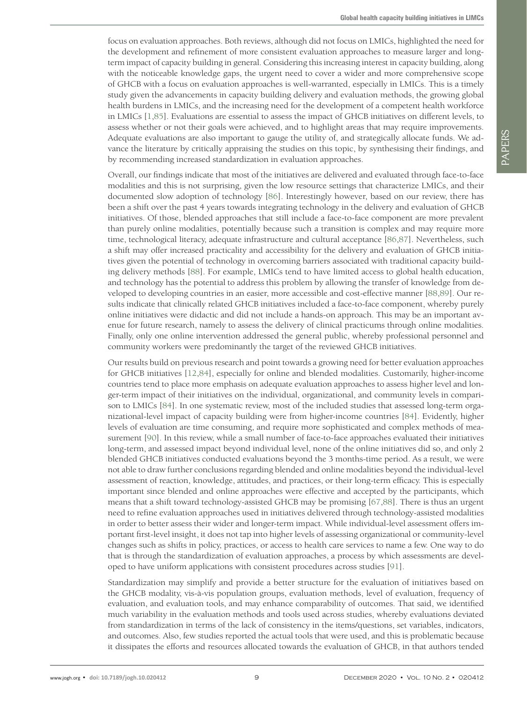focus on evaluation approaches. Both reviews, although did not focus on LMICs, highlighted the need for the development and refinement of more consistent evaluation approaches to measure larger and longterm impact of capacity building in general. Considering this increasing interest in capacity building, along with the noticeable knowledge gaps, the urgent need to cover a wider and more comprehensive scope of GHCB with a focus on evaluation approaches is well-warranted, especially in LMICs. This is a timely study given the advancements in capacity building delivery and evaluation methods, the growing global health burdens in LMICs, and the increasing need for the development of a competent health workforce in LMICs [\[1,](#page-9-0)[85\]](#page-13-5). Evaluations are essential to assess the impact of GHCB initiatives on different levels, to assess whether or not their goals were achieved, and to highlight areas that may require improvements. Adequate evaluations are also important to gauge the utility of, and strategically allocate funds. We advance the literature by critically appraising the studies on this topic, by synthesising their findings, and by recommending increased standardization in evaluation approaches.

Overall, our findings indicate that most of the initiatives are delivered and evaluated through face-to-face modalities and this is not surprising, given the low resource settings that characterize LMICs, and their documented slow adoption of technology [[86](#page-13-6)]. Interestingly however, based on our review, there has been a shift over the past 4 years towards integrating technology in the delivery and evaluation of GHCB initiatives. Of those, blended approaches that still include a face-to-face component are more prevalent than purely online modalities, potentially because such a transition is complex and may require more time, technological literacy, adequate infrastructure and cultural acceptance [[86](#page-13-6)[,87\]](#page-13-7). Nevertheless, such a shift may offer increased practicality and accessibility for the delivery and evaluation of GHCB initiatives given the potential of technology in overcoming barriers associated with traditional capacity building delivery methods [\[88\]](#page-13-8). For example, LMICs tend to have limited access to global health education, and technology has the potential to address this problem by allowing the transfer of knowledge from developed to developing countries in an easier, more accessible and cost-effective manner [[88,](#page-13-8)[89\]](#page-13-9). Our results indicate that clinically related GHCB initiatives included a face-to-face component, whereby purely online initiatives were didactic and did not include a hands-on approach. This may be an important avenue for future research, namely to assess the delivery of clinical practicums through online modalities. Finally, only one online intervention addressed the general public, whereby professional personnel and community workers were predominantly the target of the reviewed GHCB initiatives.

Our results build on previous research and point towards a growing need for better evaluation approaches for GHCB initiatives [[12](#page-10-3)[,84\]](#page-13-4), especially for online and blended modalities. Customarily, higher-income countries tend to place more emphasis on adequate evaluation approaches to assess higher level and longer-term impact of their initiatives on the individual, organizational, and community levels in comparison to LMICs [[84](#page-13-4)]. In one systematic review, most of the included studies that assessed long-term organizational-level impact of capacity building were from higher-income countries [\[84](#page-13-4)]. Evidently, higher levels of evaluation are time consuming, and require more sophisticated and complex methods of measurement [\[90\]](#page-13-10). In this review, while a small number of face-to-face approaches evaluated their initiatives long-term, and assessed impact beyond individual level, none of the online initiatives did so, and only 2 blended GHCB initiatives conducted evaluations beyond the 3 months-time period. As a result, we were not able to draw further conclusions regarding blended and online modalities beyond the individual-level assessment of reaction, knowledge, attitudes, and practices, or their long-term efficacy. This is especially important since blended and online approaches were effective and accepted by the participants, which means that a shift toward technology-assisted GHCB may be promising [[67](#page-12-10)[,88\]](#page-13-8). There is thus an urgent need to refine evaluation approaches used in initiatives delivered through technology-assisted modalities in order to better assess their wider and longer-term impact. While individual-level assessment offers important first-level insight, it does not tap into higher levels of assessing organizational or community-level changes such as shifts in policy, practices, or access to health care services to name a few. One way to do that is through the standardization of evaluation approaches, a process by which assessments are developed to have uniform applications with consistent procedures across studies [[91](#page-13-11)].

Standardization may simplify and provide a better structure for the evaluation of initiatives based on the GHCB modality, vis-à-vis population groups, evaluation methods, level of evaluation, frequency of evaluation, and evaluation tools, and may enhance comparability of outcomes. That said, we identified much variability in the evaluation methods and tools used across studies, whereby evaluations deviated from standardization in terms of the lack of consistency in the items/questions, set variables, indicators, and outcomes. Also, few studies reported the actual tools that were used, and this is problematic because it dissipates the efforts and resources allocated towards the evaluation of GHCB, in that authors tended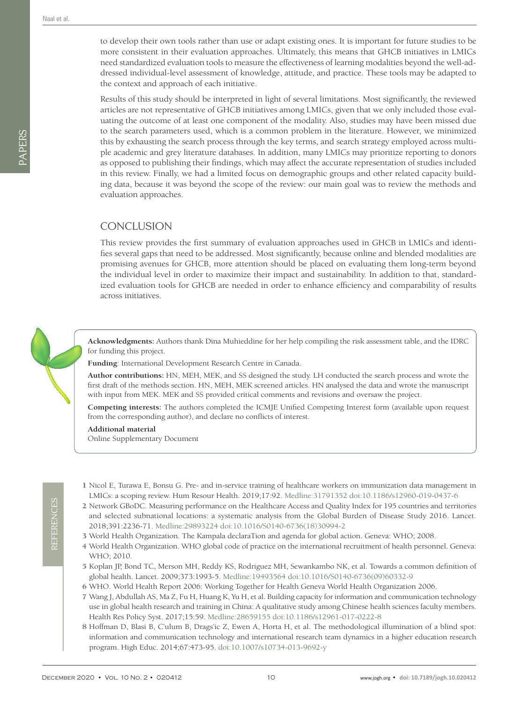PAPERS

to develop their own tools rather than use or adapt existing ones. It is important for future studies to be more consistent in their evaluation approaches. Ultimately, this means that GHCB initiatives in LMICs need standardized evaluation tools to measure the effectiveness of learning modalities beyond the well-addressed individual-level assessment of knowledge, attitude, and practice. These tools may be adapted to the context and approach of each initiative.

Results of this study should be interpreted in light of several limitations. Most significantly, the reviewed articles are not representative of GHCB initiatives among LMICs, given that we only included those evaluating the outcome of at least one component of the modality. Also, studies may have been missed due to the search parameters used, which is a common problem in the literature. However, we minimized this by exhausting the search process through the key terms, and search strategy employed across multiple academic and grey literature databases. In addition, many LMICs may prioritize reporting to donors as opposed to publishing their findings, which may affect the accurate representation of studies included in this review. Finally, we had a limited focus on demographic groups and other related capacity building data, because it was beyond the scope of the review: our main goal was to review the methods and evaluation approaches.

## **CONCLUSION**

This review provides the first summary of evaluation approaches used in GHCB in LMICs and identifies several gaps that need to be addressed. Most significantly, because online and blended modalities are promising avenues for GHCB, more attention should be placed on evaluating them long-term beyond the individual level in order to maximize their impact and sustainability. In addition to that, standardized evaluation tools for GHCB are needed in order to enhance efficiency and comparability of results across initiatives.



**Acknowledgments:** Authors thank Dina Muhieddine for her help compiling the risk assessment table, and the IDRC for funding this project.

**Funding**: International Development Research Centre in Canada.

**Author contributions:** HN, MEH, MEK, and SS designed the study. LH conducted the search process and wrote the first draft of the methods section. HN, MEH, MEK screened articles. HN analysed the data and wrote the manuscript with input from MEK. MEK and SS provided critical comments and revisions and oversaw the project.

**Competing interests:** The authors completed the ICMJE Unified Competing Interest form (available upon request from the corresponding author), and declare no conflicts of interest.

<span id="page-9-8"></span>**Additional material**

[Online Supplementary Document](http://jogh.org/documents/issue202001/jogh-10-020412-s001.pdf)

- <span id="page-9-0"></span> 1 Nicol E, Turawa E, Bonsu G. Pre- and in-service training of healthcare workers on immunization data management in LMICs: a scoping review. Hum Resour Health. 2019;17:92[. Medline:31791352](https://www.ncbi.nlm.nih.gov/entrez/query.fcgi?cmd=Retrieve&db=PubMed&list_uids=31791352&dopt=Abstract) [doi:10.1186/s12960-019-0437-6](https://doi.org/10.1186/s12960-019-0437-6)
- <span id="page-9-1"></span> 2 Network GBoDC. Measuring performance on the Healthcare Access and Quality Index for 195 countries and territories and selected subnational locations: a systematic analysis from the Global Burden of Disease Study 2016. Lancet. 2018;391:2236-71[. Medline:29893224](https://www.ncbi.nlm.nih.gov/entrez/query.fcgi?cmd=Retrieve&db=PubMed&list_uids=29893224&dopt=Abstract) [doi:10.1016/S0140-6736\(18\)30994-2](https://doi.org/10.1016/S0140-6736(18)30994-2)
- <span id="page-9-2"></span>3 World Health Organization. The Kampala declaraTion and agenda for global action. Geneva: WHO; 2008.
- <span id="page-9-3"></span> 4 World Health Organization. WHO global code of practice on the international recruitment of health personnel. Geneva: WHO; 2010.
- <span id="page-9-4"></span> 5 Koplan JP, Bond TC, Merson MH, Reddy KS, Rodriguez MH, Sewankambo NK, et al. Towards a common definition of global health. Lancet. 2009;373:1993-5. [Medline:19493564](https://www.ncbi.nlm.nih.gov/entrez/query.fcgi?cmd=Retrieve&db=PubMed&list_uids=19493564&dopt=Abstract) [doi:10.1016/S0140-6736\(09\)60332-9](https://doi.org/10.1016/S0140-6736(09)60332-9)
- <span id="page-9-5"></span>6 WHO. World Health Report 2006: Working Together for Health Geneva World Health Organization 2006.
- <span id="page-9-6"></span> 7 Wang J, Abdullah AS, Ma Z, Fu H, Huang K, Yu H, et al. Building capacity for information and communication technology use in global health research and training in China: A qualitative study among Chinese health sciences faculty members. Health Res Policy Syst. 2017;15:59. [Medline:28659155](https://www.ncbi.nlm.nih.gov/entrez/query.fcgi?cmd=Retrieve&db=PubMed&list_uids=28659155&dopt=Abstract) [doi:10.1186/s12961-017-0222-8](https://doi.org/10.1186/s12961-017-0222-8)
- <span id="page-9-7"></span> 8 Hoffman D, Blasi B, C'ulum B, Drags'ic Z, Ewen A, Horta H, et al. The methodological illumination of a blind spot: information and communication technology and international research team dynamics in a higher education research program. High Educ. 2014;67:473-95. [doi:10.1007/s10734-013-9692-y](https://doi.org/10.1007/s10734-013-9692-y)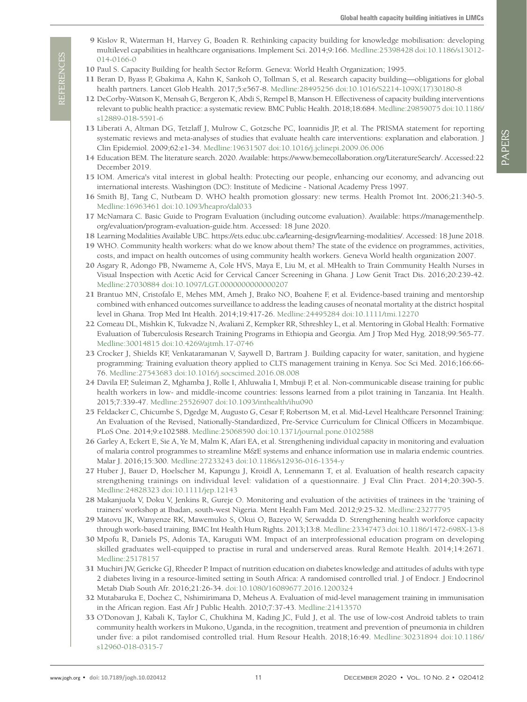- <span id="page-10-0"></span> 9 Kislov R, Waterman H, Harvey G, Boaden R. Rethinking capacity building for knowledge mobilisation: developing multilevel capabilities in healthcare organisations. Implement Sci. 2014;9:166. [Medline:25398428](https://www.ncbi.nlm.nih.gov/entrez/query.fcgi?cmd=Retrieve&db=PubMed&list_uids=25398428&dopt=Abstract) [doi:10.1186/s13012-](https://doi.org/10.1186/s13012-014-0166-0) [014-0166-0](https://doi.org/10.1186/s13012-014-0166-0)
- <span id="page-10-1"></span>10 Paul S. Capacity Building for health Sector Reform. Geneva: World Health Organization; 1995.
- <span id="page-10-2"></span>11 Beran D, Byass P, Gbakima A, Kahn K, Sankoh O, Tollman S, et al. Research capacity building—obligations for global health partners. Lancet Glob Health. 2017;5:e567-8. [Medline:28495256](https://www.ncbi.nlm.nih.gov/entrez/query.fcgi?cmd=Retrieve&db=PubMed&list_uids=28495256&dopt=Abstract) [doi:10.1016/S2214-109X\(17\)30180-8](https://doi.org/10.1016/S2214-109X(17)30180-8)
- <span id="page-10-3"></span>12 DeCorby-Watson K, Mensah G, Bergeron K, Abdi S, Rempel B, Manson H. Effectiveness of capacity building interventions relevant to public health practice: a systematic review. BMC Public Health. 2018;18:684[. Medline:29859075](https://www.ncbi.nlm.nih.gov/entrez/query.fcgi?cmd=Retrieve&db=PubMed&list_uids=29859075&dopt=Abstract) [doi:10.1186/](https://doi.org/10.1186/s12889-018-5591-6) [s12889-018-5591-6](https://doi.org/10.1186/s12889-018-5591-6)
- <span id="page-10-4"></span>13 Liberati A, Altman DG, Tetzlaff J, Mulrow C, Gotzsche PC, Ioannidis JP, et al. The PRISMA statement for reporting systematic reviews and meta-analyses of studies that evaluate health care interventions: explanation and elaboration. J Clin Epidemiol. 2009;62:e1-34. [Medline:19631507](https://www.ncbi.nlm.nih.gov/entrez/query.fcgi?cmd=Retrieve&db=PubMed&list_uids=19631507&dopt=Abstract) [doi:10.1016/j.jclinepi.2009.06.006](https://doi.org/10.1016/j.jclinepi.2009.06.006)
- <span id="page-10-5"></span>14 Education BEM. The literature search. 2020. Available: https://www.bemecollaboration.org/LiteratureSearch/. Accessed:22 December 2019.
- 15 IOM. America's vital interest in global health: Protecting our people, enhancing our economy, and advancing out international interests. Washington (DC): Institute of Medicine - National Academy Press 1997.
- 16 Smith BJ, Tang C, Nutbeam D. WHO health promotion glossary: new terms. Health Promot Int. 2006;21:340-5. [Medline:16963461](https://www.ncbi.nlm.nih.gov/entrez/query.fcgi?cmd=Retrieve&db=PubMed&list_uids=16963461&dopt=Abstract) [doi:10.1093/heapro/dal033](https://doi.org/10.1093/heapro/dal033)
- 17 McNamara C. Basic Guide to Program Evaluation (including outcome evaluation). Available: https://managementhelp. org/evaluation/program-evaluation-guide.htm. Accessed: 18 June 2020.
- 18 Learning Modalities Available UBC. https://ets.educ.ubc.ca/learning-design/learning-modalities/. Accessed: 18 June 2018.
- 19 WHO. Community health workers: what do we know about them? The state of the evidence on programmes, activities, costs, and impact on health outcomes of using community health workers. Geneva World health organization 2007.
- <span id="page-10-6"></span>20 Asgary R, Adongo PB, Nwameme A, Cole HVS, Maya E, Liu M, et al. MHealth to Train Community Health Nurses in Visual Inspection with Acetic Acid for Cervical Cancer Screening in Ghana. J Low Genit Tract Dis. 2016;20:239-42. [Medline:27030884](https://www.ncbi.nlm.nih.gov/entrez/query.fcgi?cmd=Retrieve&db=PubMed&list_uids=27030884&dopt=Abstract) [doi:10.1097/LGT.0000000000000207](https://doi.org/10.1097/LGT.0000000000000207)
- <span id="page-10-7"></span>21 Brantuo MN, Cristofalo E, Mehes MM, Ameh J, Brako NO, Boahene F, et al. Evidence-based training and mentorship combined with enhanced outcomes surveillance to address the leading causes of neonatal mortality at the district hospital level in Ghana. Trop Med Int Health. 2014;19:417-26. [Medline:24495284](https://www.ncbi.nlm.nih.gov/entrez/query.fcgi?cmd=Retrieve&db=PubMed&list_uids=24495284&dopt=Abstract) [doi:10.1111/tmi.12270](https://doi.org/10.1111/tmi.12270)
- <span id="page-10-8"></span>22 Comeau DL, Mishkin K, Tukvadze N, Avaliani Z, Kempker RR, Sthreshley L, et al. Mentoring in Global Health: Formative Evaluation of Tuberculosis Research Training Programs in Ethiopia and Georgia. Am J Trop Med Hyg. 2018;99:565-77. [Medline:30014815](https://www.ncbi.nlm.nih.gov/entrez/query.fcgi?cmd=Retrieve&db=PubMed&list_uids=30014815&dopt=Abstract) [doi:10.4269/ajtmh.17-0746](https://doi.org/10.4269/ajtmh.17-0746)
- <span id="page-10-9"></span>23 Crocker J, Shields KF, Venkataramanan V, Saywell D, Bartram J. Building capacity for water, sanitation, and hygiene programming: Training evaluation theory applied to CLTS management training in Kenya. Soc Sci Med. 2016;166:66- 76. [Medline:27543683](https://www.ncbi.nlm.nih.gov/entrez/query.fcgi?cmd=Retrieve&db=PubMed&list_uids=27543683&dopt=Abstract) [doi:10.1016/j.socscimed.2016.08.008](https://doi.org/10.1016/j.socscimed.2016.08.008)
- <span id="page-10-10"></span>24 Davila EP, Suleiman Z, Mghamba J, Rolle I, Ahluwalia I, Mmbuji P, et al. Non-communicable disease training for public health workers in low- and middle-income countries: lessons learned from a pilot training in Tanzania. Int Health. 2015;7:339-47. [Medline:25526907](https://www.ncbi.nlm.nih.gov/entrez/query.fcgi?cmd=Retrieve&db=PubMed&list_uids=25526907&dopt=Abstract) [doi:10.1093/inthealth/ihu090](https://doi.org/10.1093/inthealth/ihu090)
- <span id="page-10-11"></span>25 Feldacker C, Chicumbe S, Dgedge M, Augusto G, Cesar F, Robertson M, et al. Mid-Level Healthcare Personnel Training: An Evaluation of the Revised, Nationally-Standardized, Pre-Service Curriculum for Clinical Officers in Mozambique. PLoS One. 2014;9:e102588. [Medline:25068590](https://www.ncbi.nlm.nih.gov/entrez/query.fcgi?cmd=Retrieve&db=PubMed&list_uids=25068590&dopt=Abstract) [doi:10.1371/journal.pone.0102588](https://doi.org/10.1371/journal.pone.0102588)
- <span id="page-10-12"></span>26 Garley A, Eckert E, Sie A, Ye M, Malm K, Afari EA, et al. Strengthening individual capacity in monitoring and evaluation of malaria control programmes to streamline M&E systems and enhance information use in malaria endemic countries. Malar J. 2016;15:300. [Medline:27233243](https://www.ncbi.nlm.nih.gov/entrez/query.fcgi?cmd=Retrieve&db=PubMed&list_uids=27233243&dopt=Abstract) [doi:10.1186/s12936-016-1354-y](https://doi.org/10.1186/s12936-016-1354-y)
- <span id="page-10-13"></span>27 Huber J, Bauer D, Hoelscher M, Kapungu J, Kroidl A, Lennemann T, et al. Evaluation of health research capacity strengthening trainings on individual level: validation of a questionnaire. J Eval Clin Pract. 2014;20:390-5. [Medline:24828323](https://www.ncbi.nlm.nih.gov/entrez/query.fcgi?cmd=Retrieve&db=PubMed&list_uids=24828323&dopt=Abstract) [doi:10.1111/jep.12143](https://doi.org/10.1111/jep.12143)
- <span id="page-10-14"></span>28 Makanjuola V, Doku V, Jenkins R, Gureje O. Monitoring and evaluation of the activities of trainees in the 'training of trainers' workshop at Ibadan, south-west Nigeria. Ment Health Fam Med. 2012;9:25-32[. Medline:23277795](https://www.ncbi.nlm.nih.gov/entrez/query.fcgi?cmd=Retrieve&db=PubMed&list_uids=23277795&dopt=Abstract)
- <span id="page-10-15"></span>29 Matovu JK, Wanyenze RK, Mawemuko S, Okui O, Bazeyo W, Serwadda D. Strengthening health workforce capacity through work-based training. BMC Int Health Hum Rights. 2013;13:8[. Medline:23347473](https://www.ncbi.nlm.nih.gov/entrez/query.fcgi?cmd=Retrieve&db=PubMed&list_uids=23347473&dopt=Abstract) [doi:10.1186/1472-698X-13-8](https://doi.org/10.1186/1472-698X-13-8)
- <span id="page-10-16"></span>30 Mpofu R, Daniels PS, Adonis TA, Karuguti WM. Impact of an interprofessional education program on developing skilled graduates well-equipped to practise in rural and underserved areas. Rural Remote Health. 2014;14:2671. [Medline:25178157](https://www.ncbi.nlm.nih.gov/entrez/query.fcgi?cmd=Retrieve&db=PubMed&list_uids=25178157&dopt=Abstract)
- <span id="page-10-17"></span>31 Muchiri JW, Gericke GJ, Rheeder P. Impact of nutrition education on diabetes knowledge and attitudes of adults with type 2 diabetes living in a resource-limited setting in South Africa: A randomised controlled trial. J of Endocr. J Endocrinol Metab Diab South Afr. 2016;21:26-34. [doi:10.1080/16089677.2016.1200324](https://doi.org/10.1080/16089677.2016.1200324)
- <span id="page-10-18"></span>32 Mutabaruka E, Dochez C, Nshimirimana D, Meheus A. Evaluation of mid-level management training in immunisation in the African region. East Afr J Public Health. 2010;7:37-43[. Medline:21413570](https://www.ncbi.nlm.nih.gov/entrez/query.fcgi?cmd=Retrieve&db=PubMed&list_uids=21413570&dopt=Abstract)
- <span id="page-10-19"></span>33 O'Donovan J, Kabali K, Taylor C, Chukhina M, Kading JC, Fuld J, et al. The use of low-cost Android tablets to train community health workers in Mukono, Uganda, in the recognition, treatment and prevention of pneumonia in children under five: a pilot randomised controlled trial. Hum Resour Health. 2018;16:49. [Medline:30231894](https://www.ncbi.nlm.nih.gov/entrez/query.fcgi?cmd=Retrieve&db=PubMed&list_uids=30231894&dopt=Abstract) [doi:10.1186/](https://doi.org/10.1186/s12960-018-0315-7) [s12960-018-0315-7](https://doi.org/10.1186/s12960-018-0315-7)

**REFERENCES** REFERENCES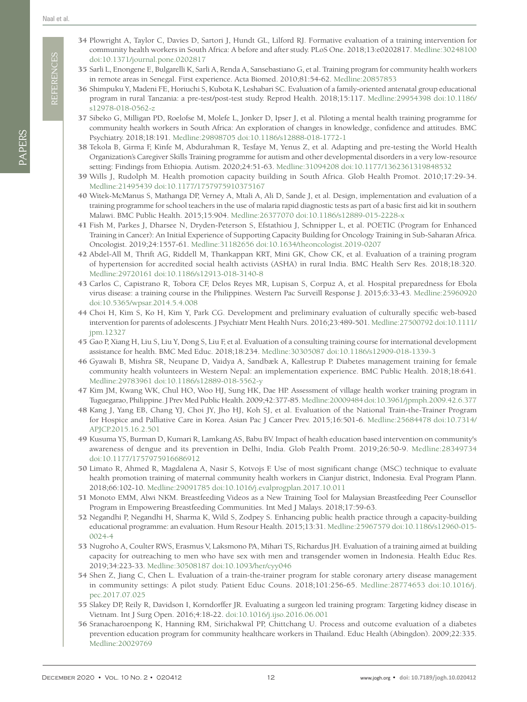**REFERENCES** REFERENCES

- <span id="page-11-0"></span>34 Plowright A, Taylor C, Davies D, Sartori J, Hundt GL, Lilford RJ. Formative evaluation of a training intervention for community health workers in South Africa: A before and after study. PLoS One. 2018;13:e0202817. [Medline:30248100](https://www.ncbi.nlm.nih.gov/entrez/query.fcgi?cmd=Retrieve&db=PubMed&list_uids=30248100&dopt=Abstract) [doi:10.1371/journal.pone.0202817](https://doi.org/10.1371/journal.pone.0202817)
- <span id="page-11-1"></span>35 Sarli L, Enongene E, Bulgarelli K, Sarli A, Renda A, Sansebastiano G, et al. Training program for community health workers in remote areas in Senegal. First experience. Acta Biomed. 2010;81:54-62. [Medline:20857853](https://www.ncbi.nlm.nih.gov/entrez/query.fcgi?cmd=Retrieve&db=PubMed&list_uids=20857853&dopt=Abstract)
- <span id="page-11-2"></span>36 Shimpuku Y, Madeni FE, Horiuchi S, Kubota K, Leshabari SC. Evaluation of a family-oriented antenatal group educational program in rural Tanzania: a pre-test/post-test study. Reprod Health. 2018;15:117. [Medline:29954398](https://www.ncbi.nlm.nih.gov/entrez/query.fcgi?cmd=Retrieve&db=PubMed&list_uids=29954398&dopt=Abstract) [doi:10.1186/](https://doi.org/10.1186/s12978-018-0562-z) [s12978-018-0562-z](https://doi.org/10.1186/s12978-018-0562-z)
- <span id="page-11-3"></span>37 Sibeko G, Milligan PD, Roelofse M, Molefe L, Jonker D, Ipser J, et al. Piloting a mental health training programme for community health workers in South Africa: An exploration of changes in knowledge, confidence and attitudes. BMC Psychiatry. 2018;18:191. [Medline:29898705](https://www.ncbi.nlm.nih.gov/entrez/query.fcgi?cmd=Retrieve&db=PubMed&list_uids=29898705&dopt=Abstract) [doi:10.1186/s12888-018-1772-1](https://doi.org/10.1186/s12888-018-1772-1)
- <span id="page-11-4"></span>38 Tekola B, Girma F, Kinfe M, Abdurahman R, Tesfaye M, Yenus Z, et al. Adapting and pre-testing the World Health Organization's Caregiver Skills Training programme for autism and other developmental disorders in a very low-resource setting: Findings from Ethiopia. Autism. 2020;24:51-63. [Medline:31094208](https://www.ncbi.nlm.nih.gov/entrez/query.fcgi?cmd=Retrieve&db=PubMed&list_uids=31094208&dopt=Abstract) [doi:10.1177/1362361319848532](https://doi.org/10.1177/1362361319848532)
- <span id="page-11-5"></span>39 Wills J, Rudolph M. Health promotion capacity building in South Africa. Glob Health Promot. 2010;17:29-34. [Medline:21495439](https://www.ncbi.nlm.nih.gov/entrez/query.fcgi?cmd=Retrieve&db=PubMed&list_uids=21495439&dopt=Abstract) [doi:10.1177/1757975910375167](https://doi.org/10.1177/1757975910375167)
- <span id="page-11-6"></span>40 Witek-McManus S, Mathanga DP, Verney A, Mtali A, Ali D, Sande J, et al. Design, implementation and evaluation of a training programme for school teachers in the use of malaria rapid diagnostic tests as part of a basic first aid kit in southern Malawi. BMC Public Health. 2015;15:904. [Medline:26377070](https://www.ncbi.nlm.nih.gov/entrez/query.fcgi?cmd=Retrieve&db=PubMed&list_uids=26377070&dopt=Abstract) [doi:10.1186/s12889-015-2228-x](https://doi.org/10.1186/s12889-015-2228-x)
- <span id="page-11-7"></span>41 Fish M, Parkes J, Dharsee N, Dryden-Peterson S, Efstathiou J, Schnipper L, et al. POETIC (Program for Enhanced Training in Cancer): An Initial Experience of Supporting Capacity Building for Oncology Training in Sub-Saharan Africa. Oncologist. 2019;24:1557-61. [Medline:31182656](https://www.ncbi.nlm.nih.gov/entrez/query.fcgi?cmd=Retrieve&db=PubMed&list_uids=31182656&dopt=Abstract) [doi:10.1634/theoncologist.2019-0207](https://doi.org/10.1634/theoncologist.2019-0207)
- <span id="page-11-8"></span>42 Abdel-All M, Thrift AG, Riddell M, Thankappan KRT, Mini GK, Chow CK, et al. Evaluation of a training program of hypertension for accredited social health activists (ASHA) in rural India. BMC Health Serv Res. 2018;18:320. [Medline:29720161](https://www.ncbi.nlm.nih.gov/entrez/query.fcgi?cmd=Retrieve&db=PubMed&list_uids=29720161&dopt=Abstract) [doi:10.1186/s12913-018-3140-8](https://doi.org/10.1186/s12913-018-3140-8)
- <span id="page-11-9"></span>43 Carlos C, Capistrano R, Tobora CF, Delos Reyes MR, Lupisan S, Corpuz A, et al. Hospital preparedness for Ebola virus disease: a training course in the Philippines. Western Pac Surveill Response J. 2015;6:33-43[. Medline:25960920](https://www.ncbi.nlm.nih.gov/entrez/query.fcgi?cmd=Retrieve&db=PubMed&list_uids=25960920&dopt=Abstract) [doi:10.5365/wpsar.2014.5.4.008](https://doi.org/10.5365/wpsar.2014.5.4.008)
- <span id="page-11-10"></span>44 Choi H, Kim S, Ko H, Kim Y, Park CG. Development and preliminary evaluation of culturally specific web-based intervention for parents of adolescents. J Psychiatr Ment Health Nurs. 2016;23:489-501. [Medline:27500792](https://www.ncbi.nlm.nih.gov/entrez/query.fcgi?cmd=Retrieve&db=PubMed&list_uids=27500792&dopt=Abstract) [doi:10.1111/](https://doi.org/10.1111/jpm.12327) [jpm.12327](https://doi.org/10.1111/jpm.12327)
- <span id="page-11-11"></span>45 Gao P, Xiang H, Liu S, Liu Y, Dong S, Liu F, et al. Evaluation of a consulting training course for international development assistance for health. BMC Med Educ. 2018;18:234. [Medline:30305087](https://www.ncbi.nlm.nih.gov/entrez/query.fcgi?cmd=Retrieve&db=PubMed&list_uids=30305087&dopt=Abstract) [doi:10.1186/s12909-018-1339-3](https://doi.org/10.1186/s12909-018-1339-3)
- <span id="page-11-12"></span>46 Gyawali B, Mishra SR, Neupane D, Vaidya A, Sandbæk A, Kallestrup P. Diabetes management training for female community health volunteers in Western Nepal: an implementation experience. BMC Public Health. 2018;18:641. [Medline:29783961](https://www.ncbi.nlm.nih.gov/entrez/query.fcgi?cmd=Retrieve&db=PubMed&list_uids=29783961&dopt=Abstract) [doi:10.1186/s12889-018-5562-y](https://doi.org/10.1186/s12889-018-5562-y)
- <span id="page-11-13"></span>47 Kim JM, Kwang WK, Chul HO, Woo HJ, Sung HK, Dae HP. Assessment of village health worker training program in Tuguegarao, Philippine. J Prev Med Public Health. 2009;42:377-85[. Medline:20009484](https://www.ncbi.nlm.nih.gov/entrez/query.fcgi?cmd=Retrieve&db=PubMed&list_uids=20009484&dopt=Abstract)[doi:10.3961/jpmph.2009.42.6.377](https://doi.org/10.3961/jpmph.2009.42.6.377)
- <span id="page-11-14"></span>48 Kang J, Yang EB, Chang YJ, Choi JY, Jho HJ, Koh SJ, et al. Evaluation of the National Train-the-Trainer Program for Hospice and Palliative Care in Korea. Asian Pac J Cancer Prev. 2015;16:501-6. [Medline:25684478](https://www.ncbi.nlm.nih.gov/entrez/query.fcgi?cmd=Retrieve&db=PubMed&list_uids=25684478&dopt=Abstract) [doi:10.7314/](https://doi.org/10.7314/APJCP.2015.16.2.501) [APJCP.2015.16.2.501](https://doi.org/10.7314/APJCP.2015.16.2.501)
- <span id="page-11-15"></span>49 Kusuma YS, Burman D, Kumari R, Lamkang AS, Babu BV. Impact of health education based intervention on community's awareness of dengue and its prevention in Delhi, India. Glob Pealth Promt. 2019;26:50-9. [Medline:28349734](https://www.ncbi.nlm.nih.gov/entrez/query.fcgi?cmd=Retrieve&db=PubMed&list_uids=28349734&dopt=Abstract) [doi:10.1177/1757975916686912](https://doi.org/10.1177/1757975916686912)
- <span id="page-11-16"></span>50 Limato R, Ahmed R, Magdalena A, Nasir S, Kotvojs F. Use of most significant change (MSC) technique to evaluate health promotion training of maternal community health workers in Cianjur district, Indonesia. Eval Program Plann. 2018;66:102-10. [Medline:29091785](https://www.ncbi.nlm.nih.gov/entrez/query.fcgi?cmd=Retrieve&db=PubMed&list_uids=29091785&dopt=Abstract) [doi:10.1016/j.evalprogplan.2017.10.011](https://doi.org/10.1016/j.evalprogplan.2017.10.011)
- <span id="page-11-17"></span>51 Monoto EMM, Alwi NKM. Breastfeeding Videos as a New Training Tool for Malaysian Breastfeeding Peer Counsellor Program in Empowering Breastfeeding Communities. Int Med J Malays. 2018;17:59-63.
- <span id="page-11-18"></span>52 Negandhi P, Negandhi H, Sharma K, Wild S, Zodpey S. Enhancing public health practice through a capacity-building educational programme: an evaluation. Hum Resour Health. 2015;13:31. [Medline:25967579](https://www.ncbi.nlm.nih.gov/entrez/query.fcgi?cmd=Retrieve&db=PubMed&list_uids=25967579&dopt=Abstract) [doi:10.1186/s12960-015-](https://doi.org/10.1186/s12960-015-0024-4) [0024-4](https://doi.org/10.1186/s12960-015-0024-4)
- <span id="page-11-19"></span>53 Nugroho A, Coulter RWS, Erasmus V, Laksmono PA, Mihari TS, Richardus JH. Evaluation of a training aimed at building capacity for outreaching to men who have sex with men and transgender women in Indonesia. Health Educ Res. 2019;34:223-33[. Medline:30508187](https://www.ncbi.nlm.nih.gov/entrez/query.fcgi?cmd=Retrieve&db=PubMed&list_uids=30508187&dopt=Abstract) [doi:10.1093/her/cyy046](https://doi.org/10.1093/her/cyy046)
- <span id="page-11-20"></span>54 Shen Z, Jiang C, Chen L. Evaluation of a train-the-trainer program for stable coronary artery disease management in community settings: A pilot study. Patient Educ Couns. 2018;101:256-65[. Medline:28774653](https://www.ncbi.nlm.nih.gov/entrez/query.fcgi?cmd=Retrieve&db=PubMed&list_uids=28774653&dopt=Abstract) [doi:10.1016/j.](https://doi.org/10.1016/j.pec.2017.07.025) [pec.2017.07.025](https://doi.org/10.1016/j.pec.2017.07.025)
- <span id="page-11-21"></span>55 Slakey DP, Reily R, Davidson I, Korndorffer JR. Evaluating a surgeon led training program: Targeting kidney disease in Vietnam. Int J Surg Open. 2016;4:18-22. [doi:10.1016/j.ijso.2016.06.001](https://doi.org/10.1016/j.ijso.2016.06.001)
- <span id="page-11-22"></span>56 Sranacharoenpong K, Hanning RM, Sirichakwal PP, Chittchang U. Process and outcome evaluation of a diabetes prevention education program for community healthcare workers in Thailand. Educ Health (Abingdon). 2009;22:335. [Medline:20029769](https://www.ncbi.nlm.nih.gov/entrez/query.fcgi?cmd=Retrieve&db=PubMed&list_uids=20029769&dopt=Abstract)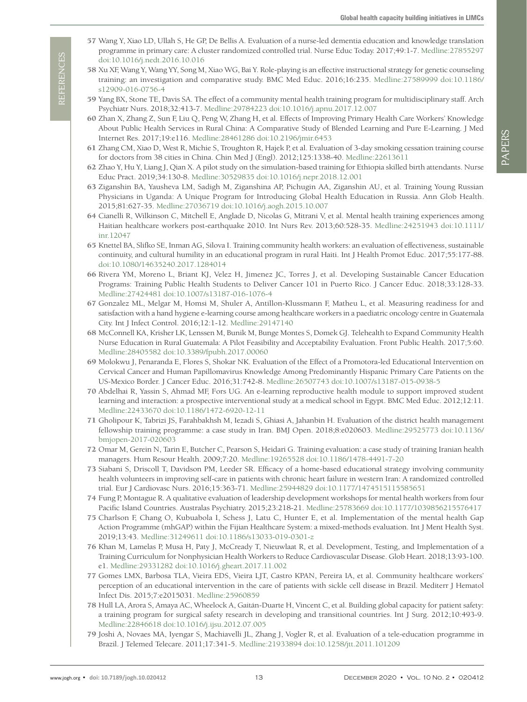- <span id="page-12-0"></span>57 Wang Y, Xiao LD, Ullah S, He GP, De Bellis A. Evaluation of a nurse-led dementia education and knowledge translation programme in primary care: A cluster randomized controlled trial. Nurse Educ Today. 2017;49:1-7[. Medline:27855297](https://www.ncbi.nlm.nih.gov/entrez/query.fcgi?cmd=Retrieve&db=PubMed&list_uids=27855297&dopt=Abstract) [doi:10.1016/j.nedt.2016.10.016](https://doi.org/10.1016/j.nedt.2016.10.016)
- <span id="page-12-1"></span>58 Xu XF, Wang Y, Wang YY, Song M, Xiao WG, Bai Y. Role-playing is an effective instructional strategy for genetic counseling training: an investigation and comparative study. BMC Med Educ. 2016;16:235. [Medline:27589999](https://www.ncbi.nlm.nih.gov/entrez/query.fcgi?cmd=Retrieve&db=PubMed&list_uids=27589999&dopt=Abstract) [doi:10.1186/](https://doi.org/10.1186/s12909-016-0756-4) [s12909-016-0756-4](https://doi.org/10.1186/s12909-016-0756-4)
- <span id="page-12-2"></span>59 Yang BX, Stone TE, Davis SA. The effect of a community mental health training program for multidisciplinary staff. Arch Psychiatr Nurs. 2018;32:413-7. [Medline:29784223](https://www.ncbi.nlm.nih.gov/entrez/query.fcgi?cmd=Retrieve&db=PubMed&list_uids=29784223&dopt=Abstract) [doi:10.1016/j.apnu.2017.12.007](https://doi.org/10.1016/j.apnu.2017.12.007)
- <span id="page-12-3"></span>60 Zhan X, Zhang Z, Sun F, Liu Q, Peng W, Zhang H, et al. Effects of Improving Primary Health Care Workers' Knowledge About Public Health Services in Rural China: A Comparative Study of Blended Learning and Pure E-Learning. J Med Internet Res. 2017;19:e116. [Medline:28461286](https://www.ncbi.nlm.nih.gov/entrez/query.fcgi?cmd=Retrieve&db=PubMed&list_uids=28461286&dopt=Abstract) [doi:10.2196/jmir.6453](https://doi.org/10.2196/jmir.6453)
- <span id="page-12-4"></span>61 Zhang CM, Xiao D, West R, Michie S, Troughton R, Hajek P, et al. Evaluation of 3-day smoking cessation training course for doctors from 38 cities in China. Chin Med J (Engl). 2012;125:1338-40. [Medline:22613611](https://www.ncbi.nlm.nih.gov/entrez/query.fcgi?cmd=Retrieve&db=PubMed&list_uids=22613611&dopt=Abstract)
- <span id="page-12-5"></span>62 Zhao Y, Hu Y, Liang J, Qian X. A pilot study on the simulation-based training for Ethiopia skilled birth attendants. Nurse Educ Pract. 2019;34:130-8[. Medline:30529835](https://www.ncbi.nlm.nih.gov/entrez/query.fcgi?cmd=Retrieve&db=PubMed&list_uids=30529835&dopt=Abstract) [doi:10.1016/j.nepr.2018.12.001](https://doi.org/10.1016/j.nepr.2018.12.001)
- <span id="page-12-6"></span>63 Ziganshin BA, Yausheva LM, Sadigh M, Ziganshina AP, Pichugin AA, Ziganshin AU, et al. Training Young Russian Physicians in Uganda: A Unique Program for Introducing Global Health Education in Russia. Ann Glob Health. 2015;81:627-35[. Medline:27036719](https://www.ncbi.nlm.nih.gov/entrez/query.fcgi?cmd=Retrieve&db=PubMed&list_uids=27036719&dopt=Abstract) [doi:10.1016/j.aogh.2015.10.007](https://doi.org/10.1016/j.aogh.2015.10.007)
- <span id="page-12-7"></span>64 Cianelli R, Wilkinson C, Mitchell E, Anglade D, Nicolas G, Mitrani V, et al. Mental health training experiences among Haitian healthcare workers post-earthquake 2010. Int Nurs Rev. 2013;60:528-35. [Medline:24251943](https://www.ncbi.nlm.nih.gov/entrez/query.fcgi?cmd=Retrieve&db=PubMed&list_uids=24251943&dopt=Abstract) [doi:10.1111/](https://doi.org/10.1111/inr.12047) [inr.12047](https://doi.org/10.1111/inr.12047)
- <span id="page-12-8"></span>65 Knettel BA, Slifko SE, Inman AG, Silova I. Training community health workers: an evaluation of effectiveness, sustainable continuity, and cultural humility in an educational program in rural Haiti. Int J Health Promot Educ. 2017;55:177-88. [doi:10.1080/14635240.2017.1284014](https://doi.org/10.1080/14635240.2017.1284014)
- <span id="page-12-9"></span>66 Rivera YM, Moreno L, Briant KJ, Velez H, Jimenez JC, Torres J, et al. Developing Sustainable Cancer Education Programs: Training Public Health Students to Deliver Cancer 101 in Puerto Rico. J Cancer Educ. 2018;33:128-33. [Medline:27424481](https://www.ncbi.nlm.nih.gov/entrez/query.fcgi?cmd=Retrieve&db=PubMed&list_uids=27424481&dopt=Abstract) [doi:10.1007/s13187-016-1076-4](https://doi.org/10.1007/s13187-016-1076-4)
- <span id="page-12-10"></span>67 Gonzalez ML, Melgar M, Homsi M, Shuler A, Antillon-Klussmann F, Matheu L, et al. Measuring readiness for and satisfaction with a hand hygiene e-learning course among healthcare workers in a paediatric oncology centre in Guatemala City. Int J Infect Control. 2016;12:1-12[. Medline:29147140](https://www.ncbi.nlm.nih.gov/entrez/query.fcgi?cmd=Retrieve&db=PubMed&list_uids=29147140&dopt=Abstract)
- <span id="page-12-11"></span>68 McConnell KA, Krisher LK, Lenssen M, Bunik M, Bunge Montes S, Domek GJ. Telehealth to Expand Community Health Nurse Education in Rural Guatemala: A Pilot Feasibility and Acceptability Evaluation. Front Public Health. 2017;5:60. [Medline:28405582](https://www.ncbi.nlm.nih.gov/entrez/query.fcgi?cmd=Retrieve&db=PubMed&list_uids=28405582&dopt=Abstract) [doi:10.3389/fpubh.2017.00060](https://doi.org/10.3389/fpubh.2017.00060)
- <span id="page-12-12"></span>69 Molokwu J, Penaranda E, Flores S, Shokar NK. Evaluation of the Effect of a Promotora-led Educational Intervention on Cervical Cancer and Human Papillomavirus Knowledge Among Predominantly Hispanic Primary Care Patients on the US-Mexico Border. J Cancer Educ. 2016;31:742-8. [Medline:26507743](https://www.ncbi.nlm.nih.gov/entrez/query.fcgi?cmd=Retrieve&db=PubMed&list_uids=26507743&dopt=Abstract) [doi:10.1007/s13187-015-0938-5](https://doi.org/10.1007/s13187-015-0938-5)
- <span id="page-12-13"></span>70 Abdelhai R, Yassin S, Ahmad MF, Fors UG. An e-learning reproductive health module to support improved student learning and interaction: a prospective interventional study at a medical school in Egypt. BMC Med Educ. 2012;12:11. [Medline:22433670](https://www.ncbi.nlm.nih.gov/entrez/query.fcgi?cmd=Retrieve&db=PubMed&list_uids=22433670&dopt=Abstract) [doi:10.1186/1472-6920-12-11](https://doi.org/10.1186/1472-6920-12-11)
- <span id="page-12-14"></span>71 Gholipour K, Tabrizi JS, Farahbakhsh M, Iezadi S, Ghiasi A, Jahanbin H. Evaluation of the district health management fellowship training programme: a case study in Iran. BMJ Open. 2018;8:e020603[. Medline:29525773](https://www.ncbi.nlm.nih.gov/entrez/query.fcgi?cmd=Retrieve&db=PubMed&list_uids=29525773&dopt=Abstract) [doi:10.1136/](https://doi.org/10.1136/bmjopen-2017-020603) [bmjopen-2017-020603](https://doi.org/10.1136/bmjopen-2017-020603)
- <span id="page-12-15"></span>72 Omar M, Gerein N, Tarin E, Butcher C, Pearson S, Heidari G. Training evaluation: a case study of training Iranian health managers. Hum Resour Health. 2009;7:20. [Medline:19265528](https://www.ncbi.nlm.nih.gov/entrez/query.fcgi?cmd=Retrieve&db=PubMed&list_uids=19265528&dopt=Abstract) [doi:10.1186/1478-4491-7-20](https://doi.org/10.1186/1478-4491-7-20)
- <span id="page-12-16"></span>73 Siabani S, Driscoll T, Davidson PM, Leeder SR. Efficacy of a home-based educational strategy involving community health volunteers in improving self-care in patients with chronic heart failure in western Iran: A randomized controlled trial. Eur J Cardiovasc Nurs. 2016;15:363-71. [Medline:25944829](https://www.ncbi.nlm.nih.gov/entrez/query.fcgi?cmd=Retrieve&db=PubMed&list_uids=25944829&dopt=Abstract) [doi:10.1177/1474515115585651](https://doi.org/10.1177/1474515115585651)
- <span id="page-12-17"></span>74 Fung P, Montague R. A qualitative evaluation of leadership development workshops for mental health workers from four Pacific Island Countries. Australas Psychiatry. 2015;23:218-21. [Medline:25783669](https://www.ncbi.nlm.nih.gov/entrez/query.fcgi?cmd=Retrieve&db=PubMed&list_uids=25783669&dopt=Abstract) [doi:10.1177/1039856215576417](https://doi.org/10.1177/1039856215576417)
- <span id="page-12-18"></span>75 Charlson F, Chang O, Kubuabola I, Schess J, Latu C, Hunter E, et al. Implementation of the mental health Gap Action Programme (mhGAP) within the Fijian Healthcare System: a mixed-methods evaluation. Int J Ment Health Syst. 2019;13:43. [Medline:31249611](https://www.ncbi.nlm.nih.gov/entrez/query.fcgi?cmd=Retrieve&db=PubMed&list_uids=31249611&dopt=Abstract) [doi:10.1186/s13033-019-0301-z](https://doi.org/10.1186/s13033-019-0301-z)
- <span id="page-12-19"></span>76 Khan M, Lamelas P, Musa H, Paty J, McCready T, Nieuwlaat R, et al. Development, Testing, and Implementation of a Training Curriculum for Nonphysician Health Workers to Reduce Cardiovascular Disease. Glob Heart. 2018;13:93-100. e1[. Medline:29331282](https://www.ncbi.nlm.nih.gov/entrez/query.fcgi?cmd=Retrieve&db=PubMed&list_uids=29331282&dopt=Abstract) [doi:10.1016/j.gheart.2017.11.002](https://doi.org/10.1016/j.gheart.2017.11.002)
- <span id="page-12-20"></span>77 Gomes LMX, Barbosa TLA, Vieira EDS, Vieira LJT, Castro KPAN, Pereira IA, et al. Community healthcare workers' perception of an educational intervention in the care of patients with sickle cell disease in Brazil. Mediterr J Hematol Infect Dis. 2015;7:e2015031. [Medline:25960859](https://www.ncbi.nlm.nih.gov/entrez/query.fcgi?cmd=Retrieve&db=PubMed&list_uids=25960859&dopt=Abstract)
- <span id="page-12-21"></span>78 Hull LA, Arora S, Amaya AC, Wheelock A, Gaitán-Duarte H, Vincent C, et al. Building global capacity for patient safety: a training program for surgical safety research in developing and transitional countries. Int J Surg. 2012;10:493-9. [Medline:22846618](https://www.ncbi.nlm.nih.gov/entrez/query.fcgi?cmd=Retrieve&db=PubMed&list_uids=22846618&dopt=Abstract) [doi:10.1016/j.ijsu.2012.07.005](https://doi.org/10.1016/j.ijsu.2012.07.005)
- <span id="page-12-22"></span>79 Joshi A, Novaes MA, Iyengar S, Machiavelli JL, Zhang J, Vogler R, et al. Evaluation of a tele-education programme in Brazil. J Telemed Telecare. 2011;17:341-5[. Medline:21933894](https://www.ncbi.nlm.nih.gov/entrez/query.fcgi?cmd=Retrieve&db=PubMed&list_uids=21933894&dopt=Abstract) [doi:10.1258/jtt.2011.101209](https://doi.org/10.1258/jtt.2011.101209)